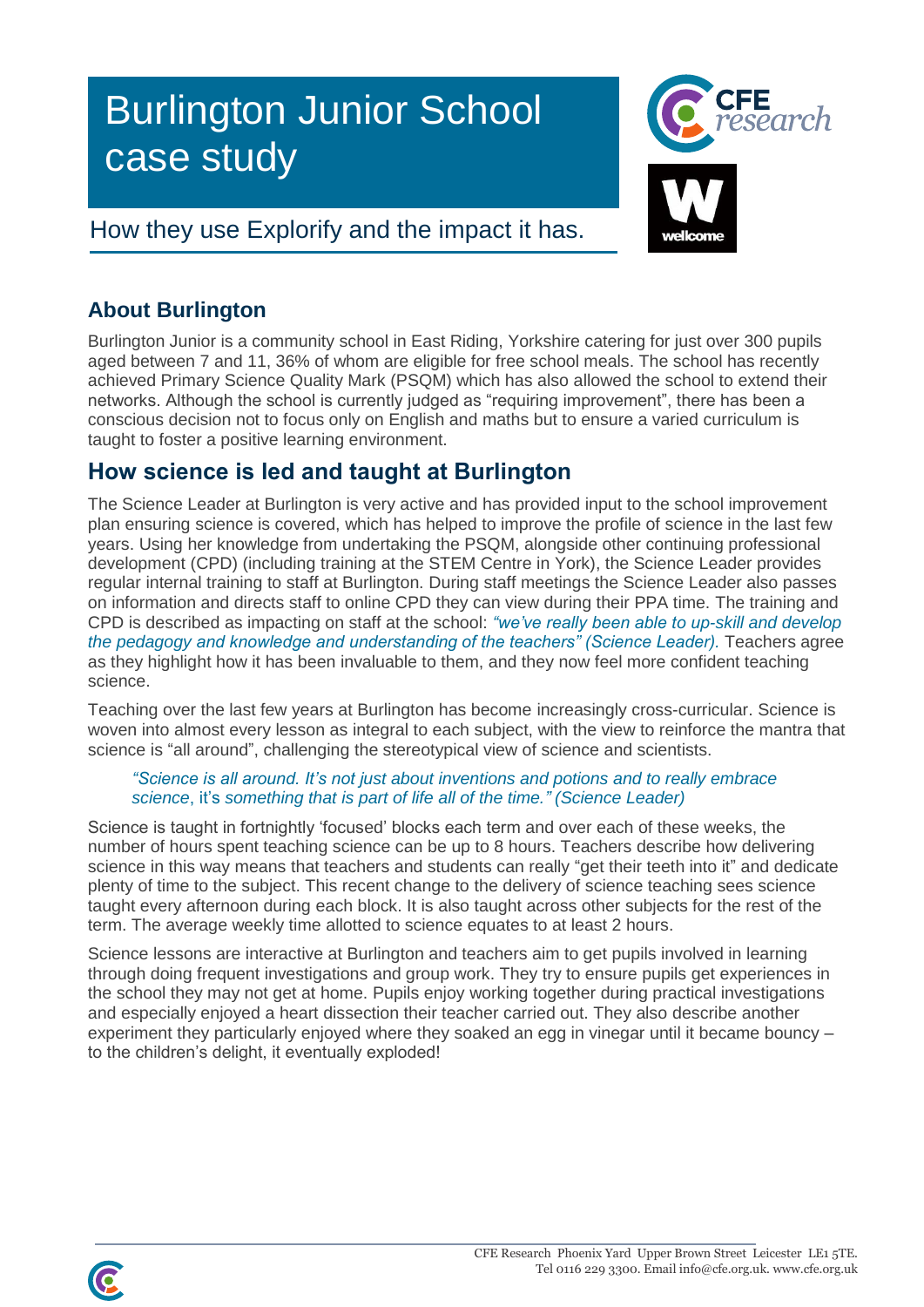# Burlington Junior School case study

# How they use Explorify and the impact it has.



## **About Burlington**

Burlington Junior is a community school in East Riding, Yorkshire catering for just over 300 pupils aged between 7 and 11, 36% of whom are eligible for free school meals. The school has recently achieved Primary Science Quality Mark (PSQM) which has also allowed the school to extend their networks. Although the school is currently judged as "requiring improvement", there has been a conscious decision not to focus only on English and maths but to ensure a varied curriculum is taught to foster a positive learning environment.

# **How science is led and taught at Burlington**

The Science Leader at Burlington is very active and has provided input to the school improvement plan ensuring science is covered, which has helped to improve the profile of science in the last few years. Using her knowledge from undertaking the PSQM, alongside other continuing professional development (CPD) (including training at the STEM Centre in York), the Science Leader provides regular internal training to staff at Burlington. During staff meetings the Science Leader also passes on information and directs staff to online CPD they can view during their PPA time. The training and CPD is described as impacting on staff at the school: *"we've really been able to up-skill and develop the pedagogy and knowledge and understanding of the teachers" (Science Leader).* Teachers agree as they highlight how it has been invaluable to them, and they now feel more confident teaching science.

Teaching over the last few years at Burlington has become increasingly cross-curricular. Science is woven into almost every lesson as integral to each subject, with the view to reinforce the mantra that science is "all around", challenging the stereotypical view of science and scientists.

### *"Science is all around. It's not just about inventions and potions and to really embrace science*, it's *something that is part of life all of the time." (Science Leader)*

Science is taught in fortnightly 'focused' blocks each term and over each of these weeks, the number of hours spent teaching science can be up to 8 hours. Teachers describe how delivering science in this way means that teachers and students can really "get their teeth into it" and dedicate plenty of time to the subject. This recent change to the delivery of science teaching sees science taught every afternoon during each block. It is also taught across other subjects for the rest of the term. The average weekly time allotted to science equates to at least 2 hours.

Science lessons are interactive at Burlington and teachers aim to get pupils involved in learning through doing frequent investigations and group work. They try to ensure pupils get experiences in the school they may not get at home. Pupils enjoy working together during practical investigations and especially enjoyed a heart dissection their teacher carried out. They also describe another experiment they particularly enjoyed where they soaked an egg in vinegar until it became bouncy – to the children's delight, it eventually exploded!

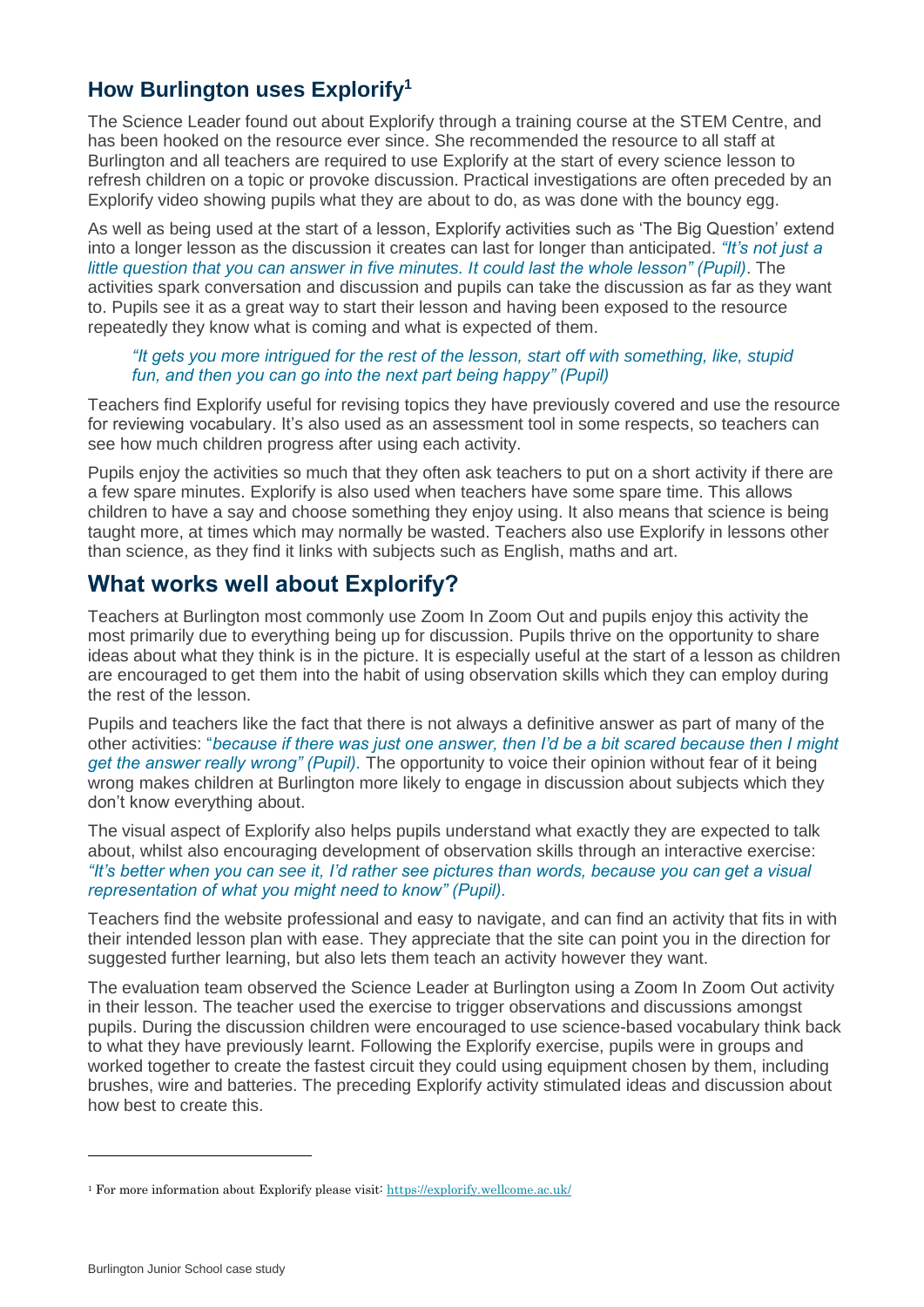### **How Burlington uses Explorify<sup>1</sup>**

The Science Leader found out about Explorify through a training course at the STEM Centre, and has been hooked on the resource ever since. She recommended the resource to all staff at Burlington and all teachers are required to use Explorify at the start of every science lesson to refresh children on a topic or provoke discussion. Practical investigations are often preceded by an Explorify video showing pupils what they are about to do, as was done with the bouncy egg.

As well as being used at the start of a lesson, Explorify activities such as 'The Big Question' extend into a longer lesson as the discussion it creates can last for longer than anticipated. *"It's not just a little question that you can answer in five minutes. It could last the whole lesson" (Pupil)*. The activities spark conversation and discussion and pupils can take the discussion as far as they want to. Pupils see it as a great way to start their lesson and having been exposed to the resource repeatedly they know what is coming and what is expected of them.

#### *"It gets you more intrigued for the rest of the lesson, start off with something, like, stupid fun, and then you can go into the next part being happy" (Pupil)*

Teachers find Explorify useful for revising topics they have previously covered and use the resource for reviewing vocabulary. It's also used as an assessment tool in some respects, so teachers can see how much children progress after using each activity.

Pupils enjoy the activities so much that they often ask teachers to put on a short activity if there are a few spare minutes. Explorify is also used when teachers have some spare time. This allows children to have a say and choose something they enjoy using. It also means that science is being taught more, at times which may normally be wasted. Teachers also use Explorify in lessons other than science, as they find it links with subjects such as English, maths and art.

## **What works well about Explorify?**

Teachers at Burlington most commonly use Zoom In Zoom Out and pupils enjoy this activity the most primarily due to everything being up for discussion. Pupils thrive on the opportunity to share ideas about what they think is in the picture. It is especially useful at the start of a lesson as children are encouraged to get them into the habit of using observation skills which they can employ during the rest of the lesson.

Pupils and teachers like the fact that there is not always a definitive answer as part of many of the other activities: "*because if there was just one answer, then I'd be a bit scared because then I might get the answer really wrong" (Pupil).* The opportunity to voice their opinion without fear of it being wrong makes children at Burlington more likely to engage in discussion about subjects which they don't know everything about.

The visual aspect of Explorify also helps pupils understand what exactly they are expected to talk about, whilst also encouraging development of observation skills through an interactive exercise: *"It's better when you can see it, I'd rather see pictures than words, because you can get a visual representation of what you might need to know" (Pupil).*

Teachers find the website professional and easy to navigate, and can find an activity that fits in with their intended lesson plan with ease. They appreciate that the site can point you in the direction for suggested further learning, but also lets them teach an activity however they want.

The evaluation team observed the Science Leader at Burlington using a Zoom In Zoom Out activity in their lesson. The teacher used the exercise to trigger observations and discussions amongst pupils. During the discussion children were encouraged to use science-based vocabulary think back to what they have previously learnt. Following the Explorify exercise, pupils were in groups and worked together to create the fastest circuit they could using equipment chosen by them, including brushes, wire and batteries. The preceding Explorify activity stimulated ideas and discussion about how best to create this.

<sup>1</sup> For more information about Explorify please visit:<https://explorify.wellcome.ac.uk/>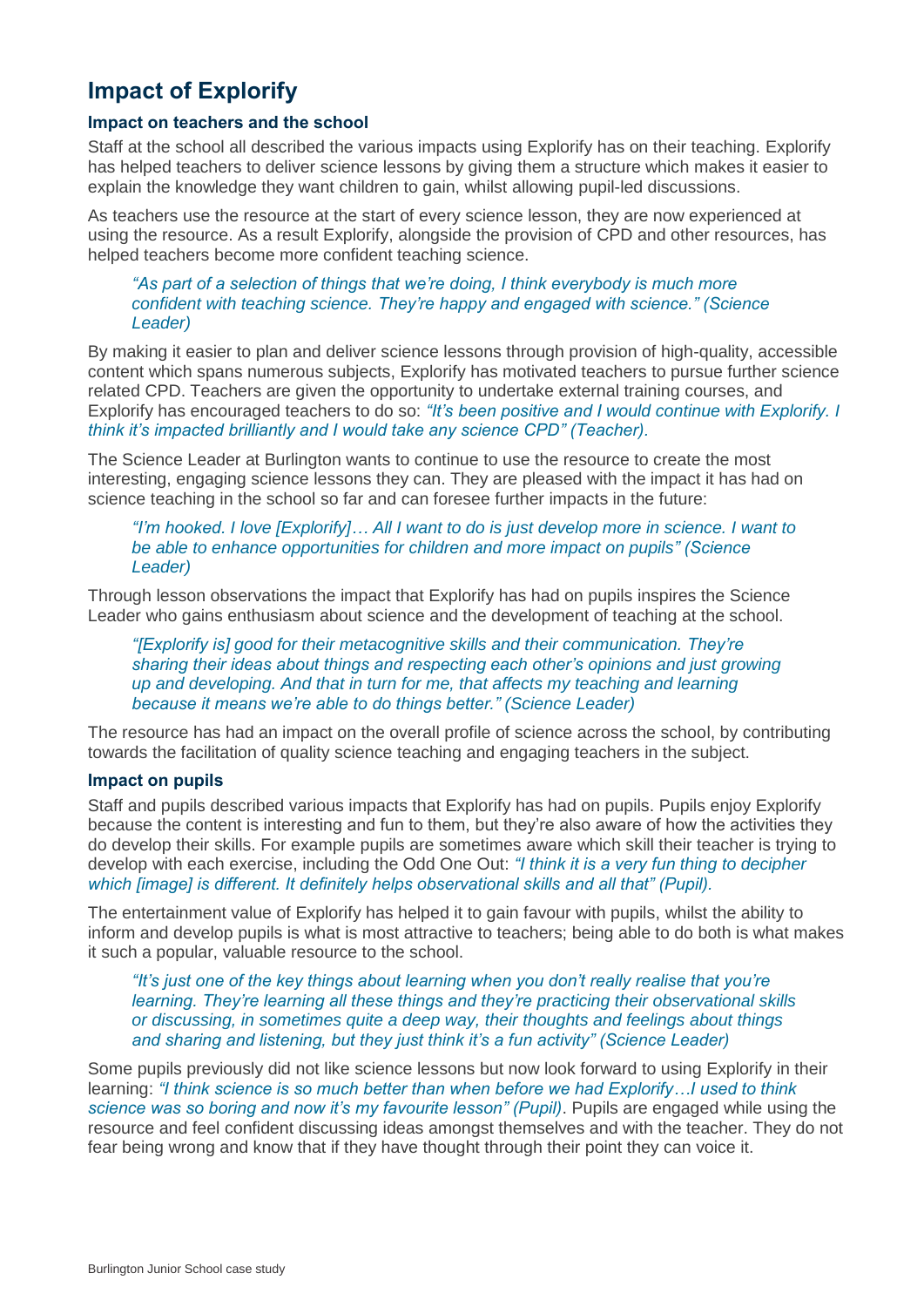## **Impact of Explorify**

#### **Impact on teachers and the school**

Staff at the school all described the various impacts using Explorify has on their teaching. Explorify has helped teachers to deliver science lessons by giving them a structure which makes it easier to explain the knowledge they want children to gain, whilst allowing pupil-led discussions.

As teachers use the resource at the start of every science lesson, they are now experienced at using the resource. As a result Explorify, alongside the provision of CPD and other resources, has helped teachers become more confident teaching science.

*"As part of a selection of things that we're doing, I think everybody is much more confident with teaching science. They're happy and engaged with science." (Science Leader)*

By making it easier to plan and deliver science lessons through provision of high-quality, accessible content which spans numerous subjects, Explorify has motivated teachers to pursue further science related CPD. Teachers are given the opportunity to undertake external training courses, and Explorify has encouraged teachers to do so: *"It's been positive and I would continue with Explorify. I think it's impacted brilliantly and I would take any science CPD" (Teacher).*

The Science Leader at Burlington wants to continue to use the resource to create the most interesting, engaging science lessons they can. They are pleased with the impact it has had on science teaching in the school so far and can foresee further impacts in the future:

*"I'm hooked. I love [Explorify]… All I want to do is just develop more in science. I want to be able to enhance opportunities for children and more impact on pupils" (Science Leader)*

Through lesson observations the impact that Explorify has had on pupils inspires the Science Leader who gains enthusiasm about science and the development of teaching at the school.

*"[Explorify is] good for their metacognitive skills and their communication. They're sharing their ideas about things and respecting each other's opinions and just growing up and developing. And that in turn for me, that affects my teaching and learning because it means we're able to do things better." (Science Leader)*

The resource has had an impact on the overall profile of science across the school, by contributing towards the facilitation of quality science teaching and engaging teachers in the subject.

#### **Impact on pupils**

Staff and pupils described various impacts that Explorify has had on pupils. Pupils enjoy Explorify because the content is interesting and fun to them, but they're also aware of how the activities they do develop their skills. For example pupils are sometimes aware which skill their teacher is trying to develop with each exercise, including the Odd One Out: *"I think it is a very fun thing to decipher which [image] is different. It definitely helps observational skills and all that" (Pupil).*

The entertainment value of Explorify has helped it to gain favour with pupils, whilst the ability to inform and develop pupils is what is most attractive to teachers; being able to do both is what makes it such a popular, valuable resource to the school.

*"It's just one of the key things about learning when you don't really realise that you're learning. They're learning all these things and they're practicing their observational skills or discussing, in sometimes quite a deep way, their thoughts and feelings about things and sharing and listening, but they just think it's a fun activity" (Science Leader)*

Some pupils previously did not like science lessons but now look forward to using Explorify in their learning: *"I think science is so much better than when before we had Explorify…I used to think science was so boring and now it's my favourite lesson" (Pupil)*. Pupils are engaged while using the resource and feel confident discussing ideas amongst themselves and with the teacher. They do not fear being wrong and know that if they have thought through their point they can voice it.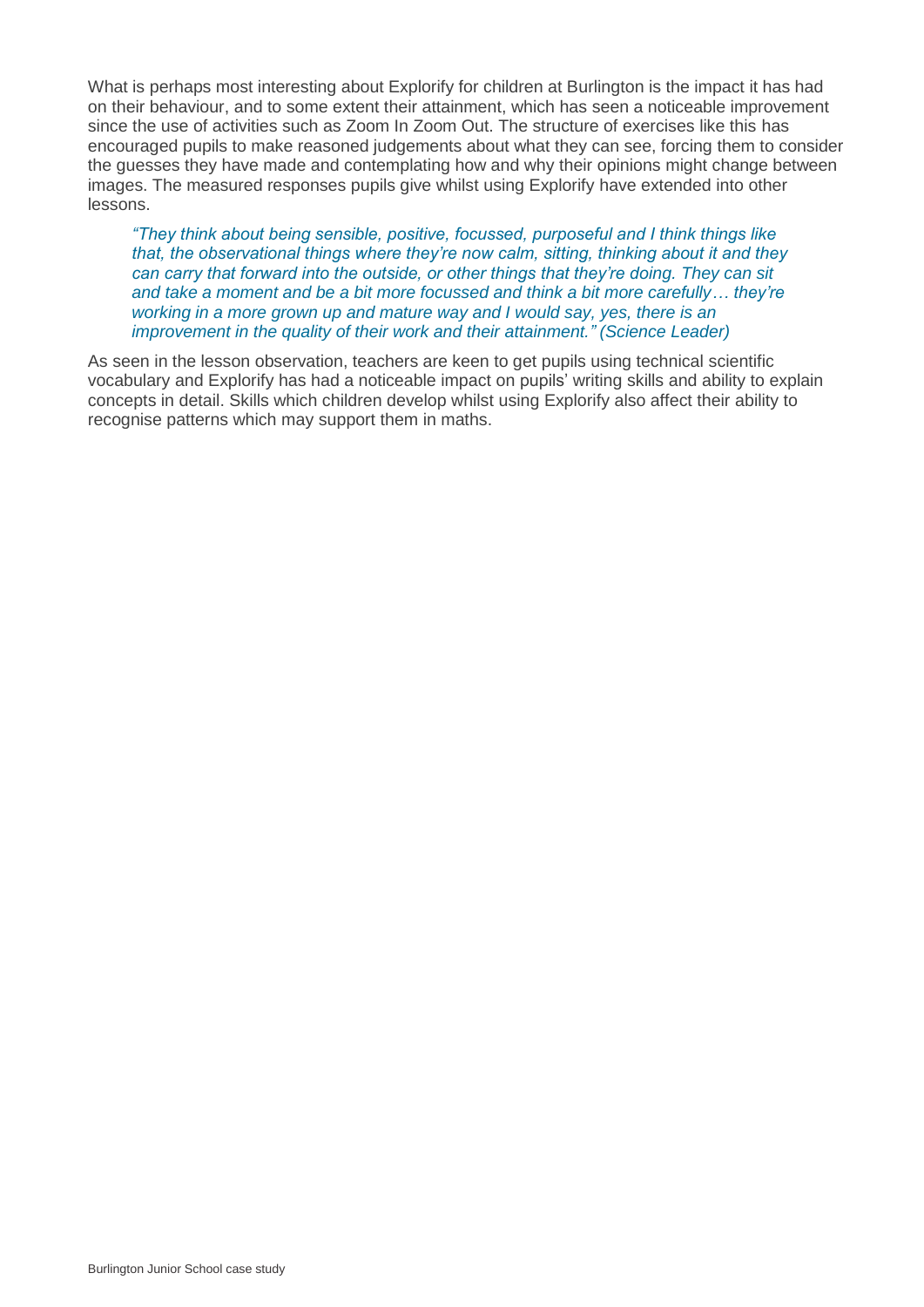What is perhaps most interesting about Explorify for children at Burlington is the impact it has had on their behaviour, and to some extent their attainment, which has seen a noticeable improvement since the use of activities such as Zoom In Zoom Out. The structure of exercises like this has encouraged pupils to make reasoned judgements about what they can see, forcing them to consider the guesses they have made and contemplating how and why their opinions might change between images. The measured responses pupils give whilst using Explorify have extended into other lessons.

*"They think about being sensible, positive, focussed, purposeful and I think things like that, the observational things where they're now calm, sitting, thinking about it and they can carry that forward into the outside, or other things that they're doing. They can sit and take a moment and be a bit more focussed and think a bit more carefully… they're working in a more grown up and mature way and I would say, yes, there is an improvement in the quality of their work and their attainment." (Science Leader)*

As seen in the lesson observation, teachers are keen to get pupils using technical scientific vocabulary and Explorify has had a noticeable impact on pupils' writing skills and ability to explain concepts in detail. Skills which children develop whilst using Explorify also affect their ability to recognise patterns which may support them in maths.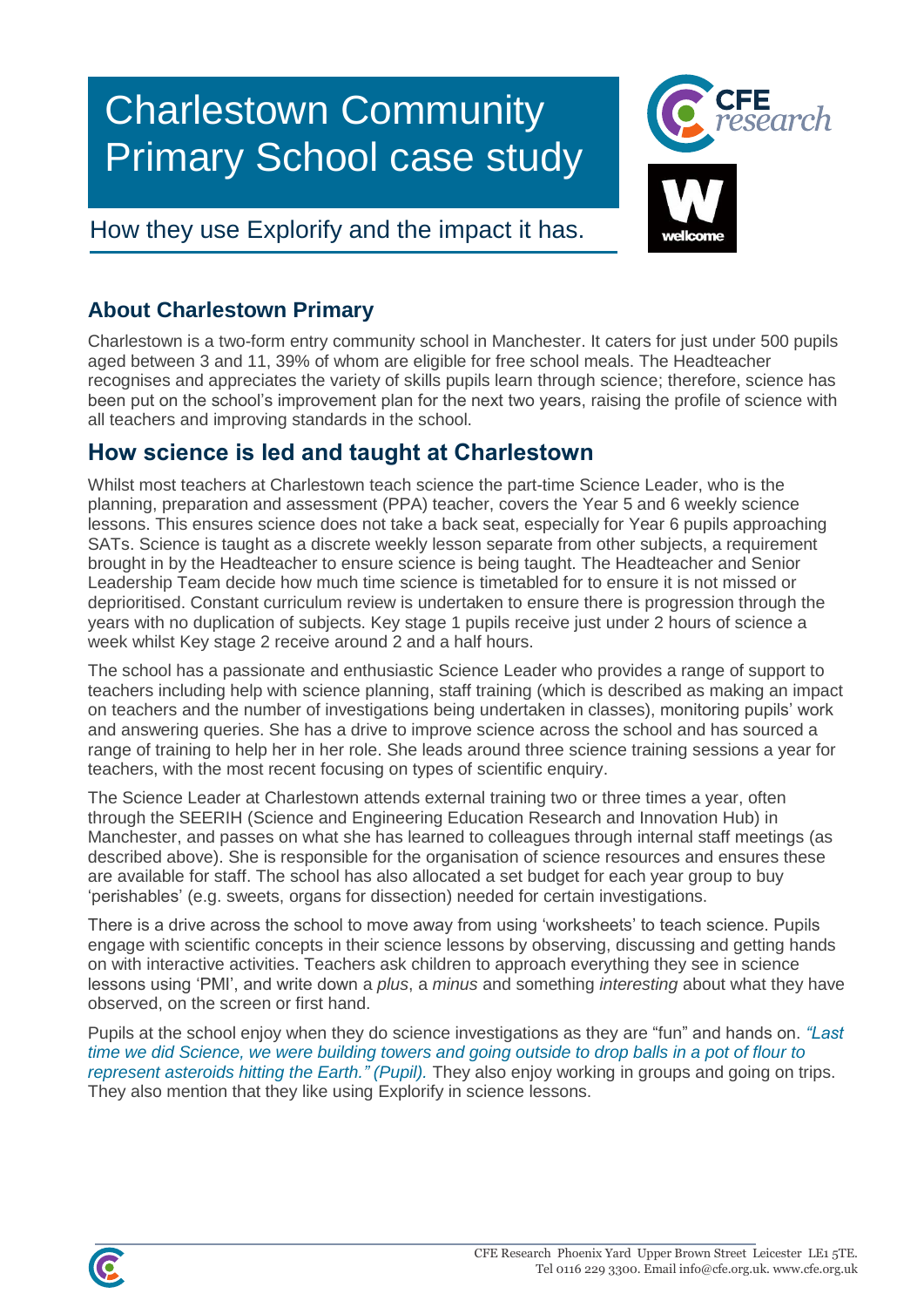# Charlestown Community Primary School case study



# How they use Explorify and the impact it has.

## **About Charlestown Primary**

Charlestown is a two-form entry community school in Manchester. It caters for just under 500 pupils aged between 3 and 11, 39% of whom are eligible for free school meals. The Headteacher recognises and appreciates the variety of skills pupils learn through science; therefore, science has been put on the school's improvement plan for the next two years, raising the profile of science with all teachers and improving standards in the school.

## **How science is led and taught at Charlestown**

Whilst most teachers at Charlestown teach science the part-time Science Leader, who is the planning, preparation and assessment (PPA) teacher, covers the Year 5 and 6 weekly science lessons. This ensures science does not take a back seat, especially for Year 6 pupils approaching SATs. Science is taught as a discrete weekly lesson separate from other subjects, a requirement brought in by the Headteacher to ensure science is being taught. The Headteacher and Senior Leadership Team decide how much time science is timetabled for to ensure it is not missed or deprioritised. Constant curriculum review is undertaken to ensure there is progression through the years with no duplication of subjects. Key stage 1 pupils receive just under 2 hours of science a week whilst Key stage 2 receive around 2 and a half hours.

The school has a passionate and enthusiastic Science Leader who provides a range of support to teachers including help with science planning, staff training (which is described as making an impact on teachers and the number of investigations being undertaken in classes), monitoring pupils' work and answering queries. She has a drive to improve science across the school and has sourced a range of training to help her in her role. She leads around three science training sessions a year for teachers, with the most recent focusing on types of scientific enquiry.

The Science Leader at Charlestown attends external training two or three times a year, often through the SEERIH (Science and Engineering Education Research and Innovation Hub) in Manchester, and passes on what she has learned to colleagues through internal staff meetings (as described above). She is responsible for the organisation of science resources and ensures these are available for staff. The school has also allocated a set budget for each year group to buy 'perishables' (e.g. sweets, organs for dissection) needed for certain investigations.

There is a drive across the school to move away from using 'worksheets' to teach science. Pupils engage with scientific concepts in their science lessons by observing, discussing and getting hands on with interactive activities. Teachers ask children to approach everything they see in science lessons using 'PMI', and write down a *plus*, a *minus* and something *interesting* about what they have observed, on the screen or first hand.

Pupils at the school enjoy when they do science investigations as they are "fun" and hands on. *"Last time we did Science, we were building towers and going outside to drop balls in a pot of flour to represent asteroids hitting the Earth." (Pupil).* They also enjoy working in groups and going on trips. They also mention that they like using Explorify in science lessons.

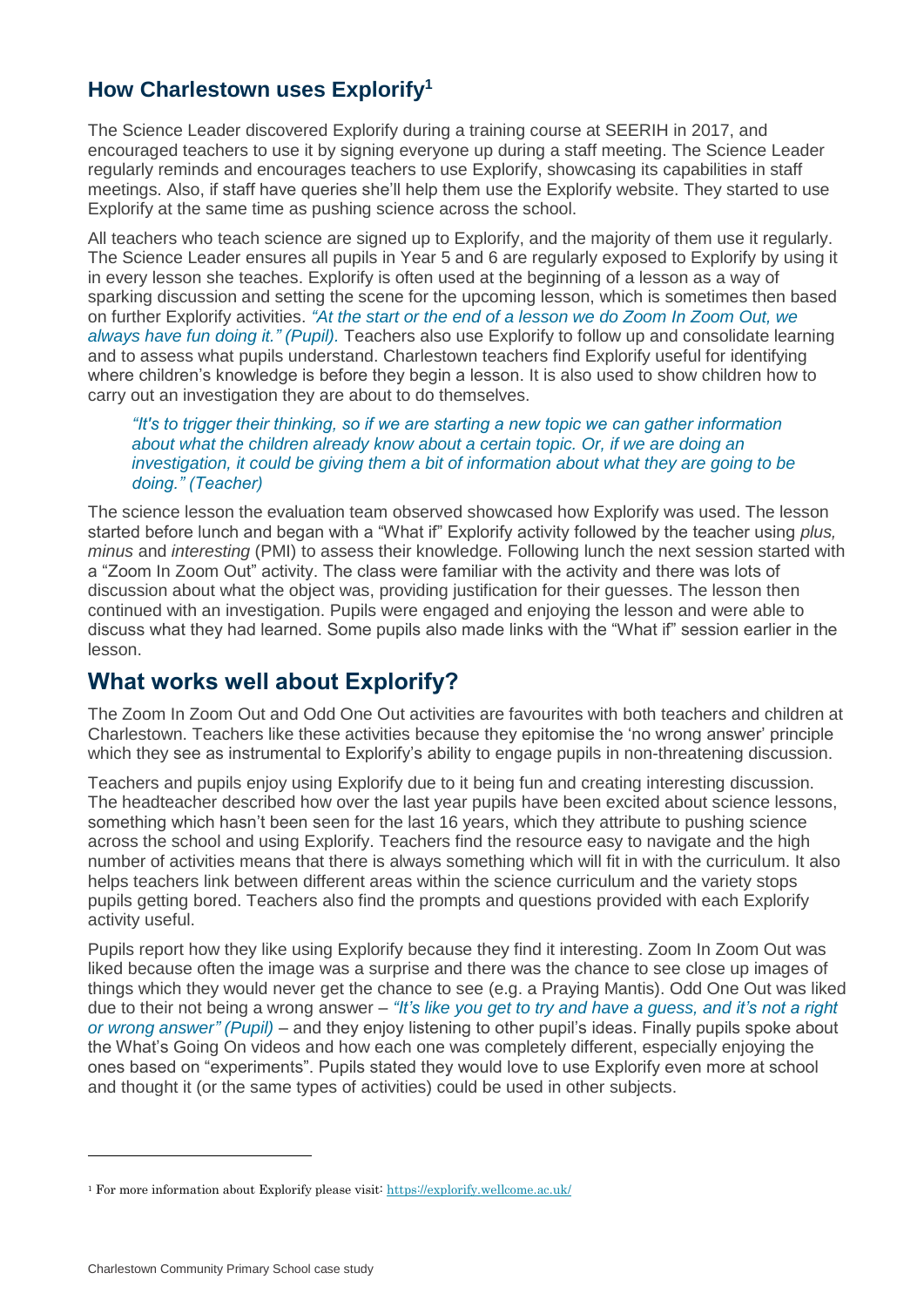## **How Charlestown uses Explorify<sup>1</sup>**

The Science Leader discovered Explorify during a training course at SEERIH in 2017, and encouraged teachers to use it by signing everyone up during a staff meeting. The Science Leader regularly reminds and encourages teachers to use Explorify, showcasing its capabilities in staff meetings. Also, if staff have queries she'll help them use the Explorify website. They started to use Explorify at the same time as pushing science across the school.

All teachers who teach science are signed up to Explorify, and the majority of them use it regularly. The Science Leader ensures all pupils in Year 5 and 6 are regularly exposed to Explorify by using it in every lesson she teaches. Explorify is often used at the beginning of a lesson as a way of sparking discussion and setting the scene for the upcoming lesson, which is sometimes then based on further Explorify activities. *"At the start or the end of a lesson we do Zoom In Zoom Out, we always have fun doing it." (Pupil).* Teachers also use Explorify to follow up and consolidate learning and to assess what pupils understand. Charlestown teachers find Explorify useful for identifying where children's knowledge is before they begin a lesson. It is also used to show children how to carry out an investigation they are about to do themselves.

*"It's to trigger their thinking, so if we are starting a new topic we can gather information about what the children already know about a certain topic. Or, if we are doing an investigation, it could be giving them a bit of information about what they are going to be doing." (Teacher)*

The science lesson the evaluation team observed showcased how Explorify was used. The lesson started before lunch and began with a "What if" Explorify activity followed by the teacher using *plus, minus* and *interesting* (PMI) to assess their knowledge. Following lunch the next session started with a "Zoom In Zoom Out" activity. The class were familiar with the activity and there was lots of discussion about what the object was, providing justification for their guesses. The lesson then continued with an investigation. Pupils were engaged and enjoying the lesson and were able to discuss what they had learned. Some pupils also made links with the "What if" session earlier in the lesson.

## **What works well about Explorify?**

The Zoom In Zoom Out and Odd One Out activities are favourites with both teachers and children at Charlestown. Teachers like these activities because they epitomise the 'no wrong answer' principle which they see as instrumental to Explorify's ability to engage pupils in non-threatening discussion.

Teachers and pupils enjoy using Explorify due to it being fun and creating interesting discussion. The headteacher described how over the last year pupils have been excited about science lessons, something which hasn't been seen for the last 16 years, which they attribute to pushing science across the school and using Explorify. Teachers find the resource easy to navigate and the high number of activities means that there is always something which will fit in with the curriculum. It also helps teachers link between different areas within the science curriculum and the variety stops pupils getting bored. Teachers also find the prompts and questions provided with each Explorify activity useful.

Pupils report how they like using Explorify because they find it interesting. Zoom In Zoom Out was liked because often the image was a surprise and there was the chance to see close up images of things which they would never get the chance to see (e.g. a Praying Mantis). Odd One Out was liked due to their not being a wrong answer – *"It's like you get to try and have a guess, and it's not a right or wrong answer" (Pupil)* – and they enjoy listening to other pupil's ideas. Finally pupils spoke about the What's Going On videos and how each one was completely different, especially enjoying the ones based on "experiments". Pupils stated they would love to use Explorify even more at school and thought it (or the same types of activities) could be used in other subjects.

<sup>1</sup> For more information about Explorify please visit:<https://explorify.wellcome.ac.uk/>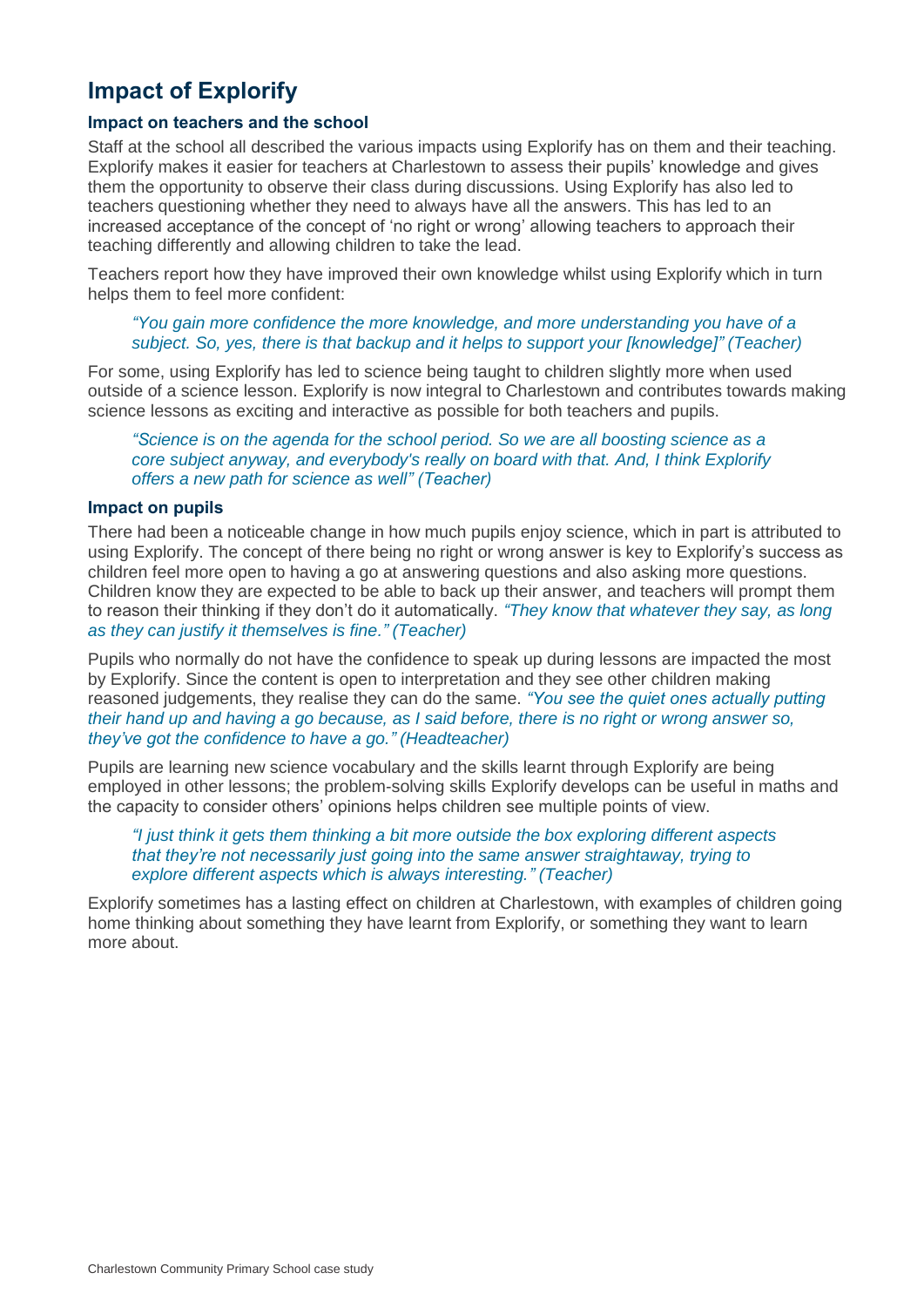# **Impact of Explorify**

#### **Impact on teachers and the school**

Staff at the school all described the various impacts using Explorify has on them and their teaching. Explorify makes it easier for teachers at Charlestown to assess their pupils' knowledge and gives them the opportunity to observe their class during discussions. Using Explorify has also led to teachers questioning whether they need to always have all the answers. This has led to an increased acceptance of the concept of 'no right or wrong' allowing teachers to approach their teaching differently and allowing children to take the lead.

Teachers report how they have improved their own knowledge whilst using Explorify which in turn helps them to feel more confident:

*"You gain more confidence the more knowledge, and more understanding you have of a subject. So, yes, there is th*a*t backup and it helps to support your [knowledge]" (Teacher)*

For some, using Explorify has led to science being taught to children slightly more when used outside of a science lesson. Explorify is now integral to Charlestown and contributes towards making science lessons as exciting and interactive as possible for both teachers and pupils.

*"Science is on the agenda for the school period. So we are all boosting science as a core subject anyway, and everybody's really on board with that. And, I think Explorify offers a new path for science as well" (Teacher)*

#### **Impact on pupils**

There had been a noticeable change in how much pupils enjoy science, which in part is attributed to using Explorify. The concept of there being no right or wrong answer is key to Explorify's success as children feel more open to having a go at answering questions and also asking more questions. Children know they are expected to be able to back up their answer, and teachers will prompt them to reason their thinking if they don't do it automatically. *"They know that whatever they say, as long as they can justify it themselves is fine." (Teacher)*

Pupils who normally do not have the confidence to speak up during lessons are impacted the most by Explorify. Since the content is open to interpretation and they see other children making reasoned judgements, they realise they can do the same. *"You see the quiet ones actually putting their hand up and having a go because, as I said before, there is no right or wrong answer so, they've got the confidence to have a go." (Headteacher)*

Pupils are learning new science vocabulary and the skills learnt through Explorify are being employed in other lessons; the problem-solving skills Explorify develops can be useful in maths and the capacity to consider others' opinions helps children see multiple points of view.

#### *"I just think it gets them thinking a bit more outside the box exploring different aspects that they're not necessarily just going into the same answer straightaway, trying to explore different aspects which is always interesting." (Teacher)*

Explorify sometimes has a lasting effect on children at Charlestown, with examples of children going home thinking about something they have learnt from Explorify, or something they want to learn more about.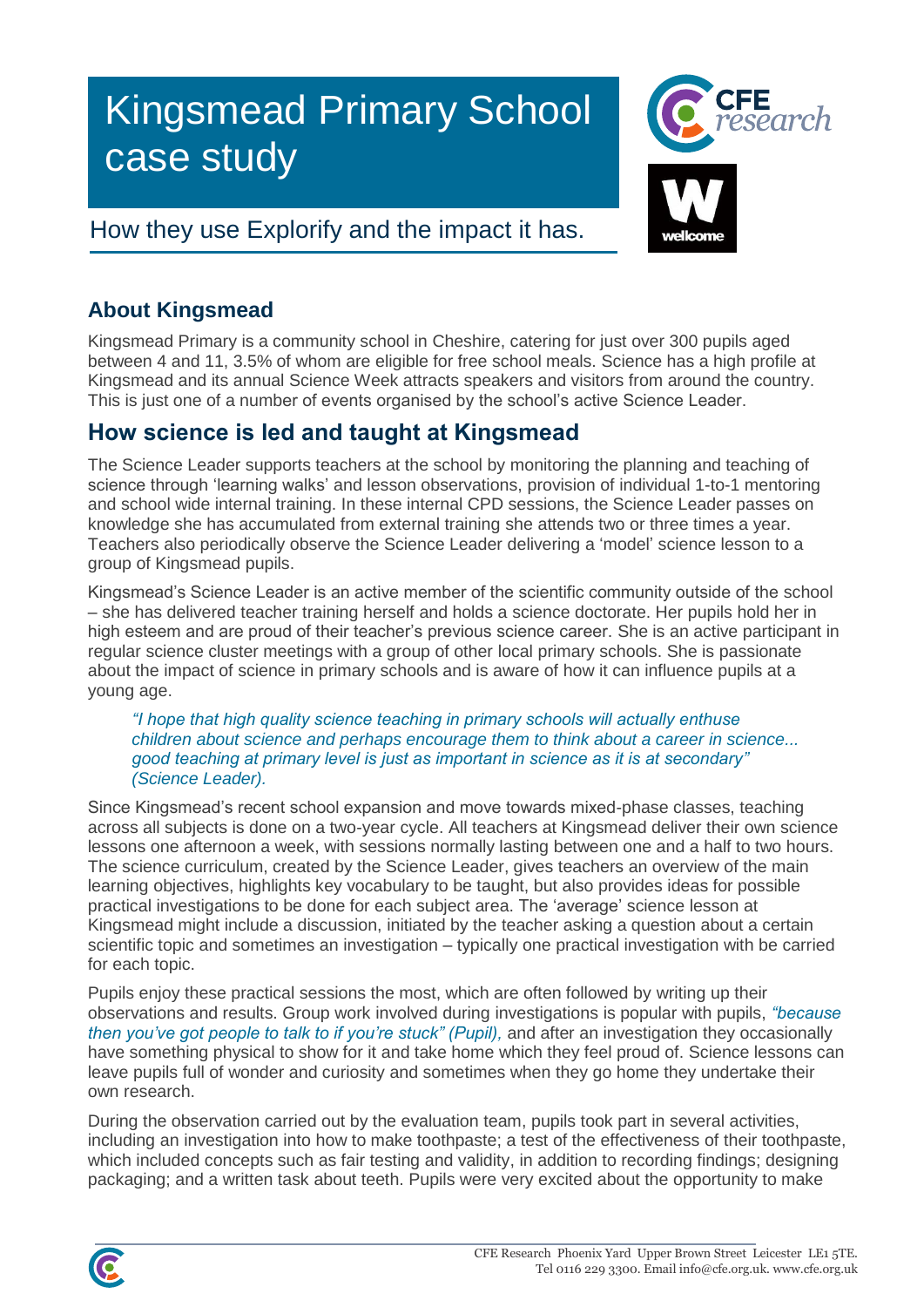# Kingsmead Primary School case study

# How they use Explorify and the impact it has.



## **About Kingsmead**

Kingsmead Primary is a community school in Cheshire, catering for just over 300 pupils aged between 4 and 11, 3.5% of whom are eligible for free school meals. Science has a high profile at Kingsmead and its annual Science Week attracts speakers and visitors from around the country. This is just one of a number of events organised by the school's active Science Leader.

## **How science is led and taught at Kingsmead**

The Science Leader supports teachers at the school by monitoring the planning and teaching of science through 'learning walks' and lesson observations, provision of individual 1-to-1 mentoring and school wide internal training. In these internal CPD sessions, the Science Leader passes on knowledge she has accumulated from external training she attends two or three times a year. Teachers also periodically observe the Science Leader delivering a 'model' science lesson to a group of Kingsmead pupils.

Kingsmead's Science Leader is an active member of the scientific community outside of the school – she has delivered teacher training herself and holds a science doctorate. Her pupils hold her in high esteem and are proud of their teacher's previous science career. She is an active participant in regular science cluster meetings with a group of other local primary schools. She is passionate about the impact of science in primary schools and is aware of how it can influence pupils at a young age.

*"I hope that high quality science teaching in primary schools will actually enthuse children about science and perhaps encourage them to think about a career in science... good teaching at primary level is just as important in science as it is at secondary" (Science Leader).*

Since Kingsmead's recent school expansion and move towards mixed-phase classes, teaching across all subjects is done on a two-year cycle. All teachers at Kingsmead deliver their own science lessons one afternoon a week, with sessions normally lasting between one and a half to two hours. The science curriculum, created by the Science Leader, gives teachers an overview of the main learning objectives, highlights key vocabulary to be taught, but also provides ideas for possible practical investigations to be done for each subject area. The 'average' science lesson at Kingsmead might include a discussion, initiated by the teacher asking a question about a certain scientific topic and sometimes an investigation – typically one practical investigation with be carried for each topic.

Pupils enjoy these practical sessions the most, which are often followed by writing up their observations and results. Group work involved during investigations is popular with pupils, *"because then you've got people to talk to if you're stuck" (Pupil),* and after an investigation they occasionally have something physical to show for it and take home which they feel proud of. Science lessons can leave pupils full of wonder and curiosity and sometimes when they go home they undertake their own research.

During the observation carried out by the evaluation team, pupils took part in several activities, including an investigation into how to make toothpaste; a test of the effectiveness of their toothpaste, which included concepts such as fair testing and validity, in addition to recording findings; designing packaging; and a written task about teeth. Pupils were very excited about the opportunity to make

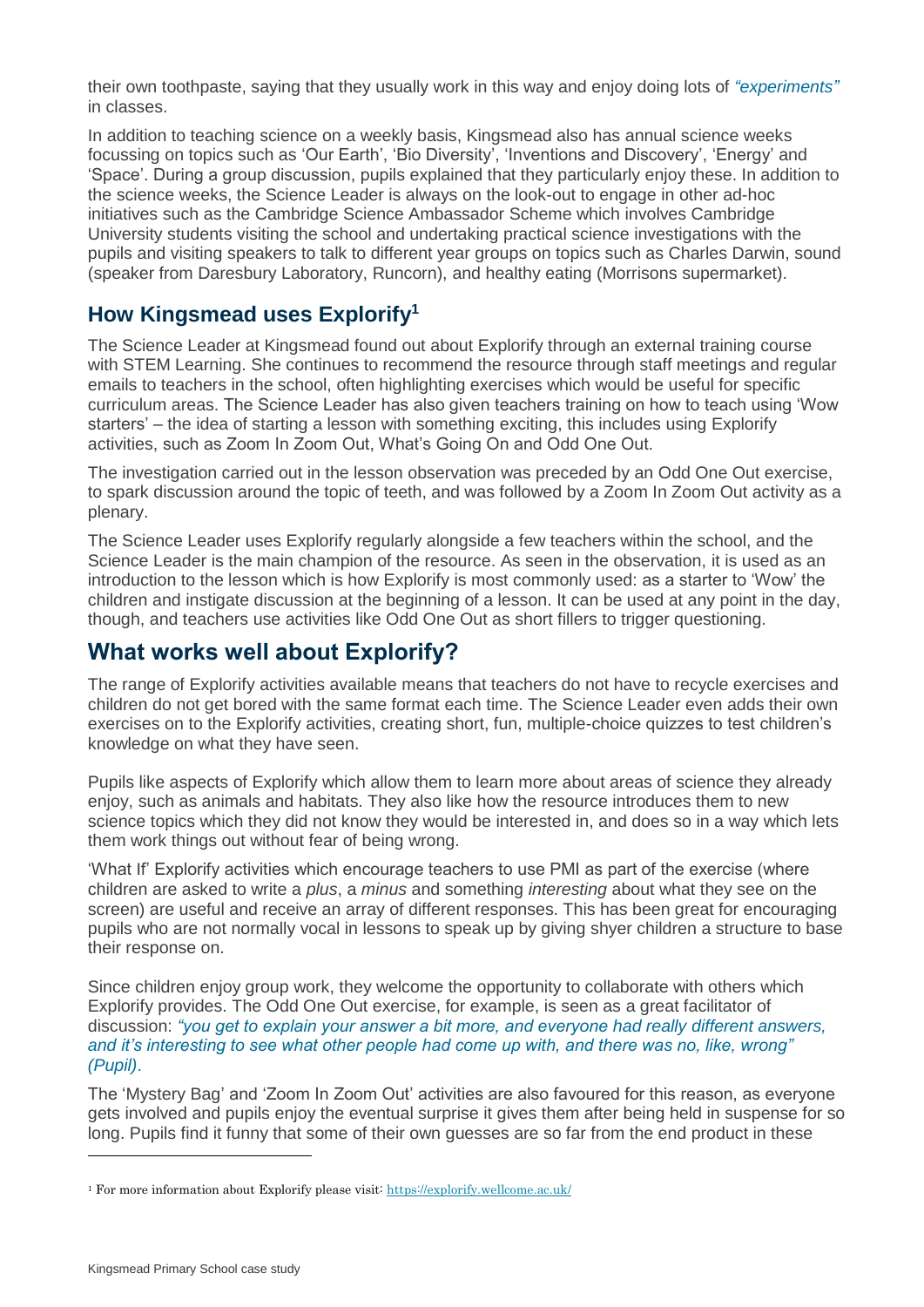their own toothpaste, saying that they usually work in this way and enjoy doing lots of *"experiments"* in classes.

In addition to teaching science on a weekly basis, Kingsmead also has annual science weeks focussing on topics such as 'Our Earth', 'Bio Diversity', 'Inventions and Discovery', 'Energy' and 'Space'. During a group discussion, pupils explained that they particularly enjoy these. In addition to the science weeks, the Science Leader is always on the look-out to engage in other ad-hoc initiatives such as the Cambridge Science Ambassador Scheme which involves Cambridge University students visiting the school and undertaking practical science investigations with the pupils and visiting speakers to talk to different year groups on topics such as Charles Darwin, sound (speaker from Daresbury Laboratory, Runcorn), and healthy eating (Morrisons supermarket).

### **How Kingsmead uses Explorify<sup>1</sup>**

The Science Leader at Kingsmead found out about Explorify through an external training course with STEM Learning. She continues to recommend the resource through staff meetings and regular emails to teachers in the school, often highlighting exercises which would be useful for specific curriculum areas. The Science Leader has also given teachers training on how to teach using 'Wow starters' – the idea of starting a lesson with something exciting, this includes using Explorify activities, such as Zoom In Zoom Out, What's Going On and Odd One Out.

The investigation carried out in the lesson observation was preceded by an Odd One Out exercise, to spark discussion around the topic of teeth, and was followed by a Zoom In Zoom Out activity as a plenary.

The Science Leader uses Explorify regularly alongside a few teachers within the school, and the Science Leader is the main champion of the resource. As seen in the observation, it is used as an introduction to the lesson which is how Explorify is most commonly used: as a starter to 'Wow' the children and instigate discussion at the beginning of a lesson. It can be used at any point in the day, though, and teachers use activities like Odd One Out as short fillers to trigger questioning.

## **What works well about Explorify?**

The range of Explorify activities available means that teachers do not have to recycle exercises and children do not get bored with the same format each time. The Science Leader even adds their own exercises on to the Explorify activities, creating short, fun, multiple-choice quizzes to test children's knowledge on what they have seen.

Pupils like aspects of Explorify which allow them to learn more about areas of science they already enjoy, such as animals and habitats. They also like how the resource introduces them to new science topics which they did not know they would be interested in, and does so in a way which lets them work things out without fear of being wrong.

'What If' Explorify activities which encourage teachers to use PMI as part of the exercise (where children are asked to write a *plus*, a *minus* and something *interesting* about what they see on the screen) are useful and receive an array of different responses. This has been great for encouraging pupils who are not normally vocal in lessons to speak up by giving shyer children a structure to base their response on.

Since children enjoy group work, they welcome the opportunity to collaborate with others which Explorify provides. The Odd One Out exercise, for example, is seen as a great facilitator of discussion: *"you get to explain your answer a bit more, and everyone had really different answers, and it's interesting to see what other people had come up with, and there was no, like, wrong" (Pupil)*.

The 'Mystery Bag' and 'Zoom In Zoom Out' activities are also favoured for this reason, as everyone gets involved and pupils enjoy the eventual surprise it gives them after being held in suspense for so long. Pupils find it funny that some of their own guesses are so far from the end product in these

<sup>1</sup> For more information about Explorify please visit:<https://explorify.wellcome.ac.uk/>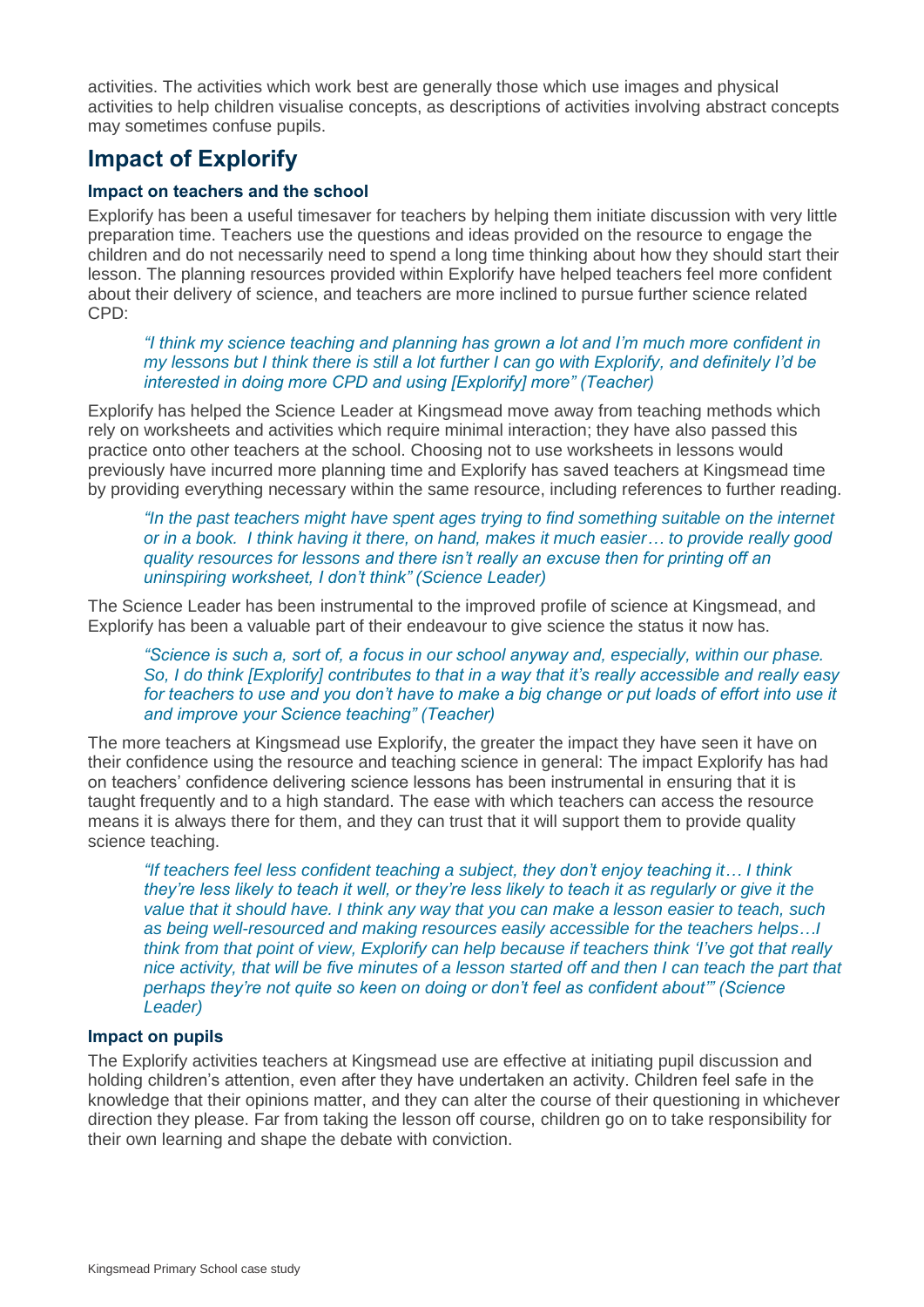activities. The activities which work best are generally those which use images and physical activities to help children visualise concepts, as descriptions of activities involving abstract concepts may sometimes confuse pupils.

## **Impact of Explorify**

#### **Impact on teachers and the school**

Explorify has been a useful timesaver for teachers by helping them initiate discussion with very little preparation time. Teachers use the questions and ideas provided on the resource to engage the children and do not necessarily need to spend a long time thinking about how they should start their lesson. The planning resources provided within Explorify have helped teachers feel more confident about their delivery of science, and teachers are more inclined to pursue further science related CPD:

#### *"I think my science teaching and planning has grown a lot and I'm much more confident in my lessons but I think there is still a lot further I can go with Explorify, and definitely I'd be interested in doing more CPD and using [Explorify] more" (Teacher)*

Explorify has helped the Science Leader at Kingsmead move away from teaching methods which rely on worksheets and activities which require minimal interaction; they have also passed this practice onto other teachers at the school. Choosing not to use worksheets in lessons would previously have incurred more planning time and Explorify has saved teachers at Kingsmead time by providing everything necessary within the same resource, including references to further reading.

#### *"In the past teachers might have spent ages trying to find something suitable on the internet or in a book. I think having it there, on hand, makes it much easier… to provide really good quality resources for lessons and there isn't really an excuse then for printing off an uninspiring worksheet, I don't think" (Science Leader)*

The Science Leader has been instrumental to the improved profile of science at Kingsmead, and Explorify has been a valuable part of their endeavour to give science the status it now has.

#### *"Science is such a, sort of, a focus in our school anyway and, especially, within our phase. So, I do think [Explorify] contributes to that in a way that it's really accessible and really easy*  for teachers to use and you don't have to make a big change or put loads of effort into use it *and improve your Science teaching" (Teacher)*

The more teachers at Kingsmead use Explorify, the greater the impact they have seen it have on their confidence using the resource and teaching science in general: The impact Explorify has had on teachers' confidence delivering science lessons has been instrumental in ensuring that it is taught frequently and to a high standard. The ease with which teachers can access the resource means it is always there for them, and they can trust that it will support them to provide quality science teaching.

*"If teachers feel less confident teaching a subject, they don't enjoy teaching it… I think they're less likely to teach it well, or they're less likely to teach it as regularly or give it the value that it should have. I think any way that you can make a lesson easier to teach, such as being well-resourced and making resources easily accessible for the teachers helps…I think from that point of view, Explorify can help because if teachers think 'I've got that really nice activity, that will be five minutes of a lesson started off and then I can teach the part that perhaps they're not quite so keen on doing or don't feel as confident about'" (Science Leader)*

#### **Impact on pupils**

The Explorify activities teachers at Kingsmead use are effective at initiating pupil discussion and holding children's attention, even after they have undertaken an activity. Children feel safe in the knowledge that their opinions matter, and they can alter the course of their questioning in whichever direction they please. Far from taking the lesson off course, children go on to take responsibility for their own learning and shape the debate with conviction.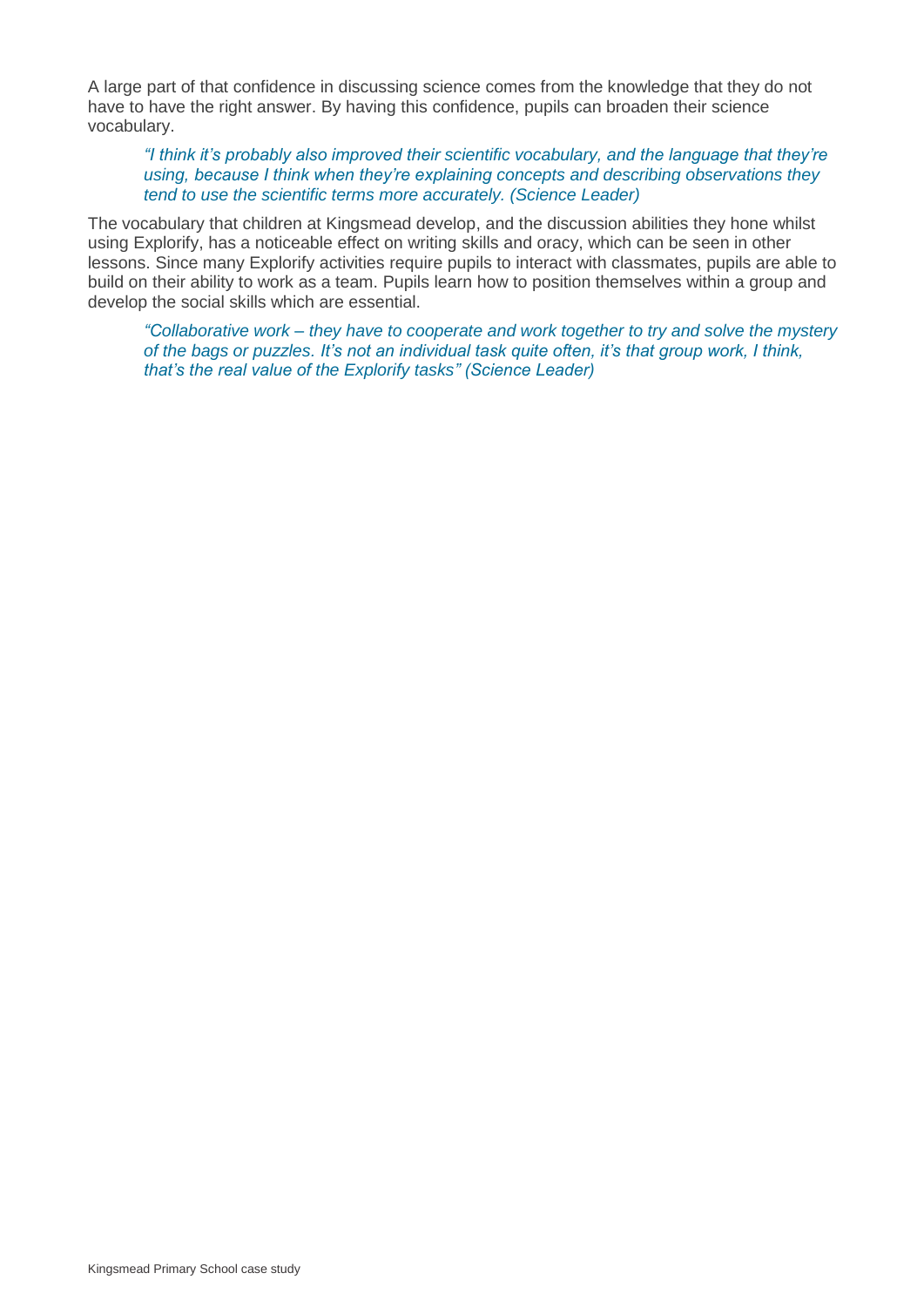A large part of that confidence in discussing science comes from the knowledge that they do not have to have the right answer. By having this confidence, pupils can broaden their science vocabulary.

*"I think it's probably also improved their scientific vocabulary, and the language that they're using, because I think when they're explaining concepts and describing observations they tend to use the scientific terms more accurately. (Science Leader)*

The vocabulary that children at Kingsmead develop, and the discussion abilities they hone whilst using Explorify, has a noticeable effect on writing skills and oracy, which can be seen in other lessons. Since many Explorify activities require pupils to interact with classmates, pupils are able to build on their ability to work as a team. Pupils learn how to position themselves within a group and develop the social skills which are essential.

*"Collaborative work – they have to cooperate and work together to try and solve the mystery of the bags or puzzles. It's not an individual task quite often, it's that group work, I think, that's the real value of the Explorify tasks" (Science Leader)*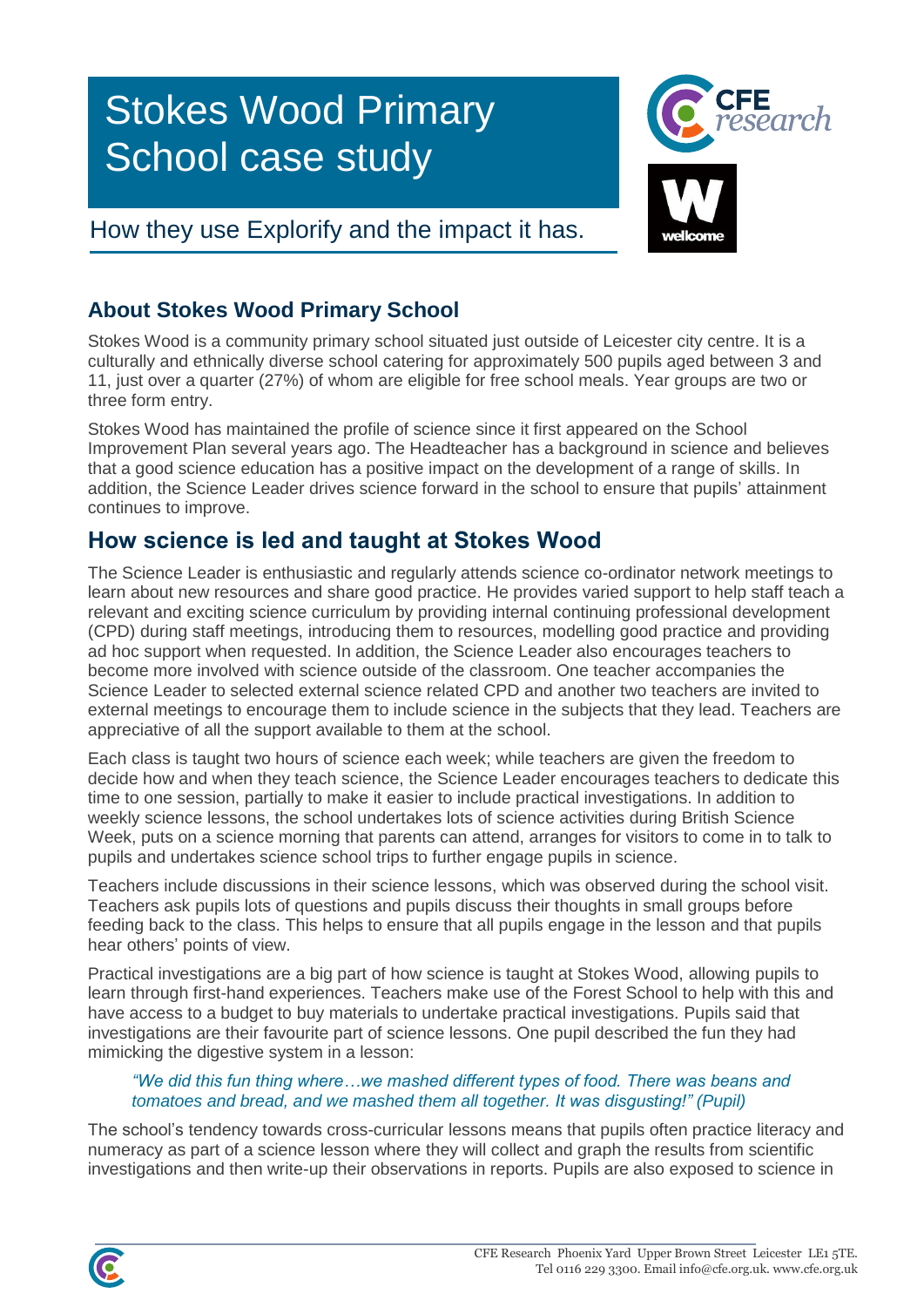# Stokes Wood Primary School case study



# How they use Explorify and the impact it has.

# **About Stokes Wood Primary School**

Stokes Wood is a community primary school situated just outside of Leicester city centre. It is a culturally and ethnically diverse school catering for approximately 500 pupils aged between 3 and 11, just over a quarter (27%) of whom are eligible for free school meals. Year groups are two or three form entry.

Stokes Wood has maintained the profile of science since it first appeared on the School Improvement Plan several years ago. The Headteacher has a background in science and believes that a good science education has a positive impact on the development of a range of skills. In addition, the Science Leader drives science forward in the school to ensure that pupils' attainment continues to improve.

## **How science is led and taught at Stokes Wood**

The Science Leader is enthusiastic and regularly attends science co-ordinator network meetings to learn about new resources and share good practice. He provides varied support to help staff teach a relevant and exciting science curriculum by providing internal continuing professional development (CPD) during staff meetings, introducing them to resources, modelling good practice and providing ad hoc support when requested. In addition, the Science Leader also encourages teachers to become more involved with science outside of the classroom. One teacher accompanies the Science Leader to selected external science related CPD and another two teachers are invited to external meetings to encourage them to include science in the subjects that they lead. Teachers are appreciative of all the support available to them at the school.

Each class is taught two hours of science each week; while teachers are given the freedom to decide how and when they teach science, the Science Leader encourages teachers to dedicate this time to one session, partially to make it easier to include practical investigations. In addition to weekly science lessons, the school undertakes lots of science activities during British Science Week, puts on a science morning that parents can attend, arranges for visitors to come in to talk to pupils and undertakes science school trips to further engage pupils in science.

Teachers include discussions in their science lessons, which was observed during the school visit. Teachers ask pupils lots of questions and pupils discuss their thoughts in small groups before feeding back to the class. This helps to ensure that all pupils engage in the lesson and that pupils hear others' points of view.

Practical investigations are a big part of how science is taught at Stokes Wood, allowing pupils to learn through first-hand experiences. Teachers make use of the Forest School to help with this and have access to a budget to buy materials to undertake practical investigations. Pupils said that investigations are their favourite part of science lessons. One pupil described the fun they had mimicking the digestive system in a lesson:

#### *"We did this fun thing where…we mashed different types of food. There was beans and tomatoes and bread, and we mashed them all together. It was disgusting!" (Pupil)*

The school's tendency towards cross-curricular lessons means that pupils often practice literacy and numeracy as part of a science lesson where they will collect and graph the results from scientific investigations and then write-up their observations in reports. Pupils are also exposed to science in

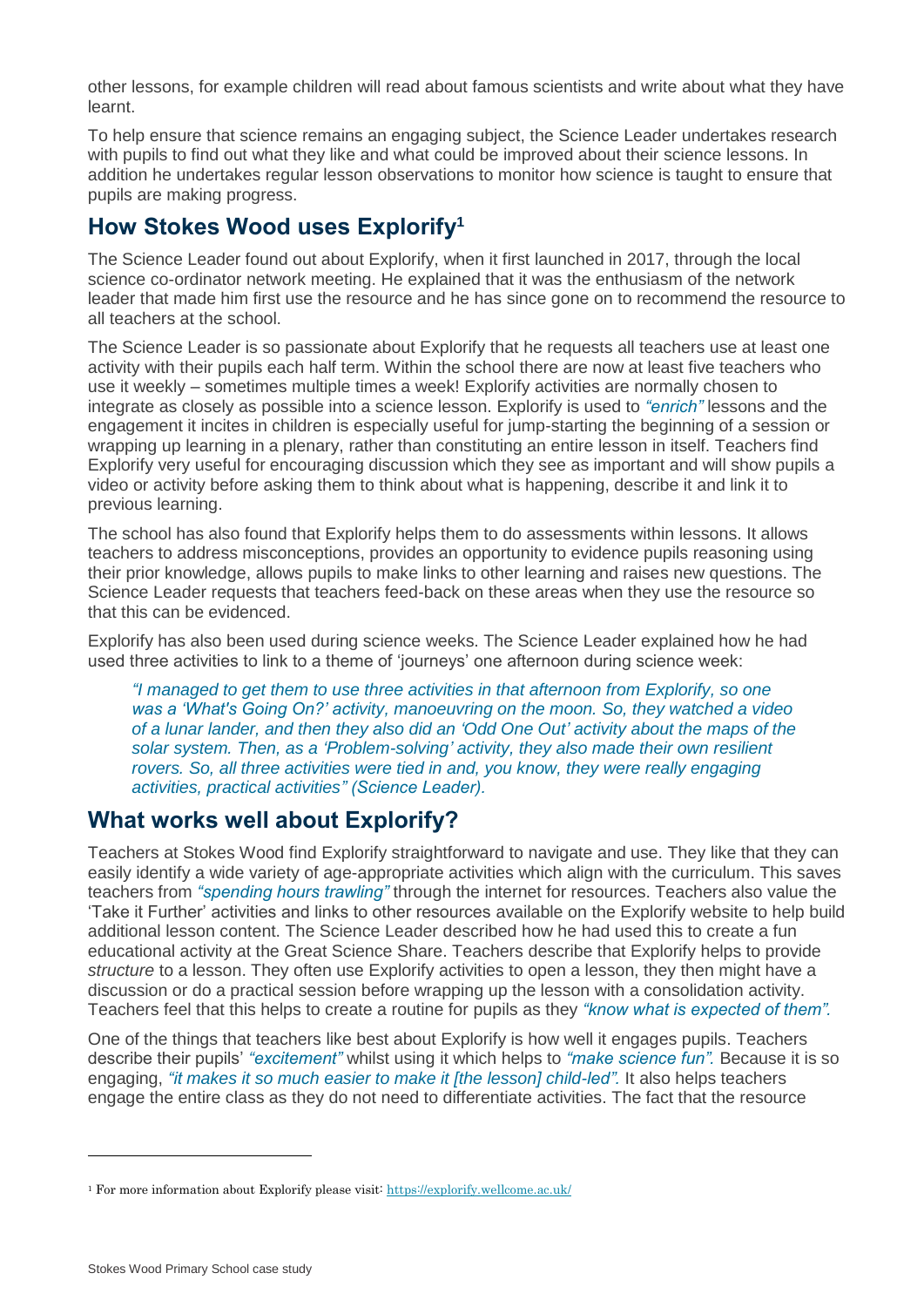other lessons, for example children will read about famous scientists and write about what they have learnt.

To help ensure that science remains an engaging subject, the Science Leader undertakes research with pupils to find out what they like and what could be improved about their science lessons. In addition he undertakes regular lesson observations to monitor how science is taught to ensure that pupils are making progress.

## **How Stokes Wood uses Explorify<sup>1</sup>**

The Science Leader found out about Explorify, when it first launched in 2017, through the local science co-ordinator network meeting. He explained that it was the enthusiasm of the network leader that made him first use the resource and he has since gone on to recommend the resource to all teachers at the school.

The Science Leader is so passionate about Explorify that he requests all teachers use at least one activity with their pupils each half term. Within the school there are now at least five teachers who use it weekly – sometimes multiple times a week! Explorify activities are normally chosen to integrate as closely as possible into a science lesson. Explorify is used to *"enrich"* lessons and the engagement it incites in children is especially useful for jump-starting the beginning of a session or wrapping up learning in a plenary, rather than constituting an entire lesson in itself. Teachers find Explorify very useful for encouraging discussion which they see as important and will show pupils a video or activity before asking them to think about what is happening, describe it and link it to previous learning.

The school has also found that Explorify helps them to do assessments within lessons. It allows teachers to address misconceptions, provides an opportunity to evidence pupils reasoning using their prior knowledge, allows pupils to make links to other learning and raises new questions. The Science Leader requests that teachers feed-back on these areas when they use the resource so that this can be evidenced.

Explorify has also been used during science weeks. The Science Leader explained how he had used three activities to link to a theme of 'journeys' one afternoon during science week:

*"I managed to get them to use three activities in that afternoon from Explorify, so one was a 'What's Going On?' activity, manoeuvring on the moon. So, they watched a video of a lunar lander, and then they also did an 'Odd One Out' activity about the maps of the solar system. Then, as a 'Problem-solving' activity, they also made their own resilient rovers. So, all three activities were tied in and, you know, they were really engaging activities, practical activities" (Science Leader).*

## **What works well about Explorify?**

Teachers at Stokes Wood find Explorify straightforward to navigate and use. They like that they can easily identify a wide variety of age-appropriate activities which align with the curriculum. This saves teachers from *"spending hours trawling"* through the internet for resources. Teachers also value the 'Take it Further' activities and links to other resources available on the Explorify website to help build additional lesson content. The Science Leader described how he had used this to create a fun educational activity at the Great Science Share. Teachers describe that Explorify helps to provide *structure* to a lesson. They often use Explorify activities to open a lesson, they then might have a discussion or do a practical session before wrapping up the lesson with a consolidation activity. Teachers feel that this helps to create a routine for pupils as they *"know what is expected of them".*

One of the things that teachers like best about Explorify is how well it engages pupils. Teachers describe their pupils' *"excitement"* whilst using it which helps to *"make science fun".* Because it is so engaging, *"it makes it so much easier to make it [the lesson] child-led".* It also helps teachers engage the entire class as they do not need to differentiate activities. The fact that the resource

<sup>1</sup> For more information about Explorify please visit:<https://explorify.wellcome.ac.uk/>